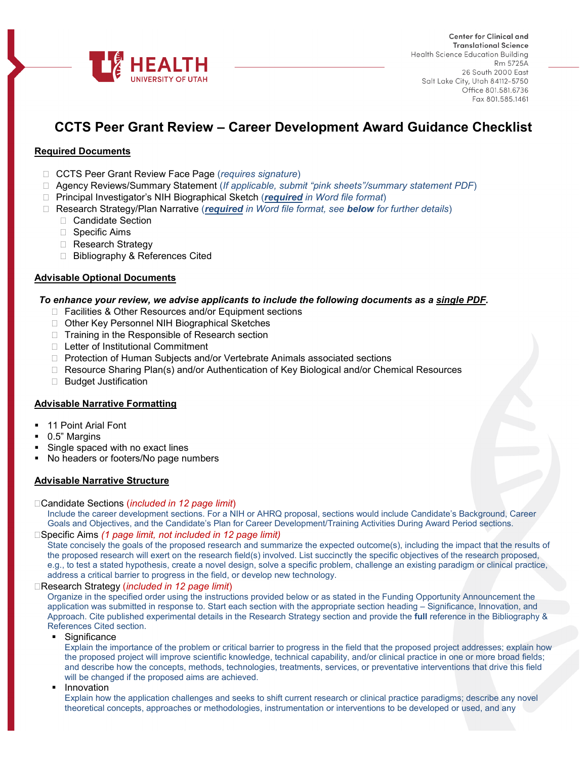

# **CCTS Peer Grant Review – Career Development Award Guidance Checklist**

# **Required Documents**

- CCTS Peer Grant Review Face Page (*requires signature*)
- Agency Reviews/Summary Statement (*If applicable, submit "pink sheets"/summary statement PDF*)
- Principal Investigator's NIH Biographical Sketch (*required in Word file format*)
- Research Strategy/Plan Narrative (*required in Word file format, see below for further details*)
	- □ Candidate Section
	- □ Specific Aims
	- □ Research Strategy
	- □ Bibliography & References Cited

## **Advisable Optional Documents**

## *To enhance your review, we advise applicants to include the following documents as a single PDF.*

- □ Facilities & Other Resources and/or Equipment sections
- □ Other Key Personnel NIH Biographical Sketches
- $\Box$  Training in the Responsible of Research section
- □ Letter of Institutional Commitment
- □ Protection of Human Subjects and/or Vertebrate Animals associated sections
- □ Resource Sharing Plan(s) and/or Authentication of Key Biological and/or Chemical Resources
- □ Budget Justification

## **Advisable Narrative Formatting**

- 11 Point Arial Font
- 0.5" Margins
- Single spaced with no exact lines
- No headers or footers/No page numbers

#### **Advisable Narrative Structure**

#### Candidate Sections (*included in 12 page limit*)

Include the career development sections. For a NIH or AHRQ proposal, sections would include Candidate's Background, Career Goals and Objectives, and the Candidate's Plan for Career Development/Training Activities During Award Period sections.

## Specific Aims *(1 page limit, not included in 12 page limit)*

State concisely the goals of the proposed research and summarize the expected outcome(s), including the impact that the results of the proposed research will exert on the research field(s) involved. List succinctly the specific objectives of the research proposed, e.g., to test a stated hypothesis, create a novel design, solve a specific problem, challenge an existing paradigm or clinical practice, address a critical barrier to progress in the field, or develop new technology.

## Research Strategy (*included in 12 page limit*)

Organize in the specified order using the instructions provided below or as stated in the Funding Opportunity Announcement the application was submitted in response to. Start each section with the appropriate section heading – Significance, Innovation, and Approach. Cite published experimental details in the Research Strategy section and provide the **full** reference in the Bibliography & References Cited section.

**Significance** 

Explain the importance of the problem or critical barrier to progress in the field that the proposed project addresses; explain how the proposed project will improve scientific knowledge, technical capability, and/or clinical practice in one or more broad fields; and describe how the concepts, methods, technologies, treatments, services, or preventative interventions that drive this field will be changed if the proposed aims are achieved.

**Innovation** 

Explain how the application challenges and seeks to shift current research or clinical practice paradigms; describe any novel theoretical concepts, approaches or methodologies, instrumentation or interventions to be developed or used, and any